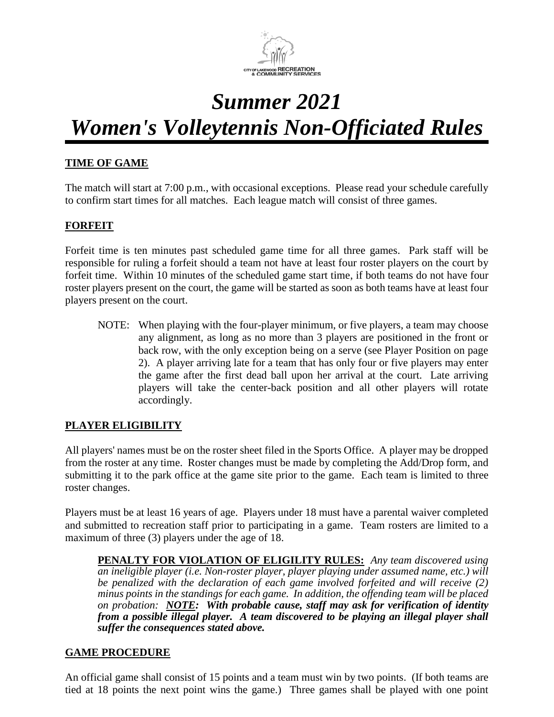

# *Summer 2021 Women's Volleytennis Non-Officiated Rules*

## **TIME OF GAME**

The match will start at 7:00 p.m., with occasional exceptions. Please read your schedule carefully to confirm start times for all matches. Each league match will consist of three games.

#### **FORFEIT**

Forfeit time is ten minutes past scheduled game time for all three games. Park staff will be responsible for ruling a forfeit should a team not have at least four roster players on the court by forfeit time. Within 10 minutes of the scheduled game start time, if both teams do not have four roster players present on the court, the game will be started as soon as both teams have at least four players present on the court.

NOTE: When playing with the four-player minimum, or five players, a team may choose any alignment, as long as no more than 3 players are positioned in the front or back row, with the only exception being on a serve (see Player Position on page 2). A player arriving late for a team that has only four or five players may enter the game after the first dead ball upon her arrival at the court. Late arriving players will take the center-back position and all other players will rotate accordingly.

#### **PLAYER ELIGIBILITY**

All players' names must be on the roster sheet filed in the Sports Office. A player may be dropped from the roster at any time. Roster changes must be made by completing the Add/Drop form, and submitting it to the park office at the game site prior to the game. Each team is limited to three roster changes.

Players must be at least 16 years of age. Players under 18 must have a parental waiver completed and submitted to recreation staff prior to participating in a game. Team rosters are limited to a maximum of three (3) players under the age of 18.

**PENALTY FOR VIOLATION OF ELIGILITY RULES:** *Any team discovered using an ineligible player (i.e. Non-roster player, player playing under assumed name, etc.) will be penalized with the declaration of each game involved forfeited and will receive (2) minus points in the standings for each game. In addition, the offending team will be placed on probation: NOTE: With probable cause, staff may ask for verification of identity from a possible illegal player. A team discovered to be playing an illegal player shall suffer the consequences stated above.*

#### **GAME PROCEDURE**

An official game shall consist of 15 points and a team must win by two points. (If both teams are tied at 18 points the next point wins the game.) Three games shall be played with one point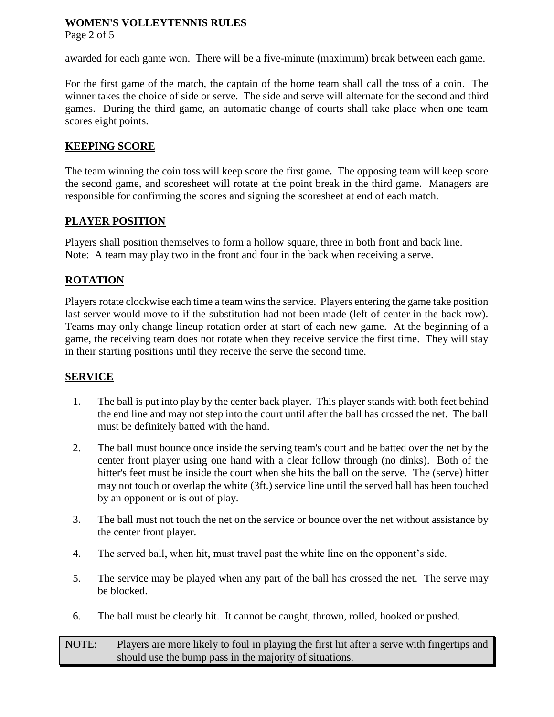Page 2 of 5

awarded for each game won. There will be a five-minute (maximum) break between each game.

For the first game of the match, the captain of the home team shall call the toss of a coin. The winner takes the choice of side or serve. The side and serve will alternate for the second and third games. During the third game, an automatic change of courts shall take place when one team scores eight points.

# **KEEPING SCORE**

The team winning the coin toss will keep score the first game*.* The opposing team will keep score the second game, and scoresheet will rotate at the point break in the third game. Managers are responsible for confirming the scores and signing the scoresheet at end of each match.

## **PLAYER POSITION**

Players shall position themselves to form a hollow square, three in both front and back line. Note: A team may play two in the front and four in the back when receiving a serve.

# **ROTATION**

Players rotate clockwise each time a team wins the service. Players entering the game take position last server would move to if the substitution had not been made (left of center in the back row). Teams may only change lineup rotation order at start of each new game. At the beginning of a game, the receiving team does not rotate when they receive service the first time. They will stay in their starting positions until they receive the serve the second time.

#### **SERVICE**

- 1. The ball is put into play by the center back player. This player stands with both feet behind the end line and may not step into the court until after the ball has crossed the net. The ball must be definitely batted with the hand.
- 2. The ball must bounce once inside the serving team's court and be batted over the net by the center front player using one hand with a clear follow through (no dinks). Both of the hitter's feet must be inside the court when she hits the ball on the serve. The (serve) hitter may not touch or overlap the white (3ft.) service line until the served ball has been touched by an opponent or is out of play.
- 3. The ball must not touch the net on the service or bounce over the net without assistance by the center front player.
- 4. The served ball, when hit, must travel past the white line on the opponent's side.
- 5. The service may be played when any part of the ball has crossed the net. The serve may be blocked.
- 6. The ball must be clearly hit. It cannot be caught, thrown, rolled, hooked or pushed.

NOTE: Players are more likely to foul in playing the first hit after a serve with fingertips and should use the bump pass in the majority of situations.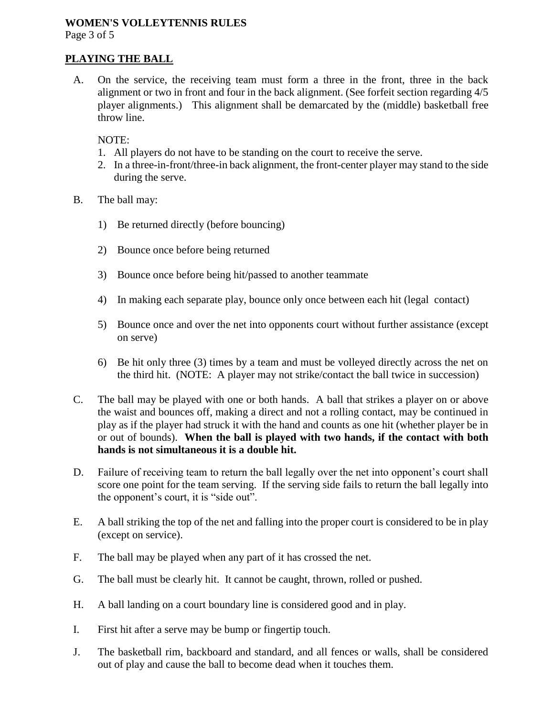Page 3 of 5

#### **PLAYING THE BALL**

A. On the service, the receiving team must form a three in the front, three in the back alignment or two in front and four in the back alignment. (See forfeit section regarding 4/5 player alignments.) This alignment shall be demarcated by the (middle) basketball free throw line.

NOTE:

- 1. All players do not have to be standing on the court to receive the serve.
- 2. In a three-in-front/three-in back alignment, the front-center player may stand to the side during the serve.
- B. The ball may:
	- 1) Be returned directly (before bouncing)
	- 2) Bounce once before being returned
	- 3) Bounce once before being hit/passed to another teammate
	- 4) In making each separate play, bounce only once between each hit (legal contact)
	- 5) Bounce once and over the net into opponents court without further assistance (except on serve)
	- 6) Be hit only three (3) times by a team and must be volleyed directly across the net on the third hit. (NOTE: A player may not strike/contact the ball twice in succession)
- C. The ball may be played with one or both hands. A ball that strikes a player on or above the waist and bounces off, making a direct and not a rolling contact, may be continued in play as if the player had struck it with the hand and counts as one hit (whether player be in or out of bounds). **When the ball is played with two hands, if the contact with both hands is not simultaneous it is a double hit.**
- D. Failure of receiving team to return the ball legally over the net into opponent's court shall score one point for the team serving. If the serving side fails to return the ball legally into the opponent's court, it is "side out".
- E. A ball striking the top of the net and falling into the proper court is considered to be in play (except on service).
- F. The ball may be played when any part of it has crossed the net.
- G. The ball must be clearly hit. It cannot be caught, thrown, rolled or pushed.
- H. A ball landing on a court boundary line is considered good and in play.
- I. First hit after a serve may be bump or fingertip touch.
- J. The basketball rim, backboard and standard, and all fences or walls, shall be considered out of play and cause the ball to become dead when it touches them.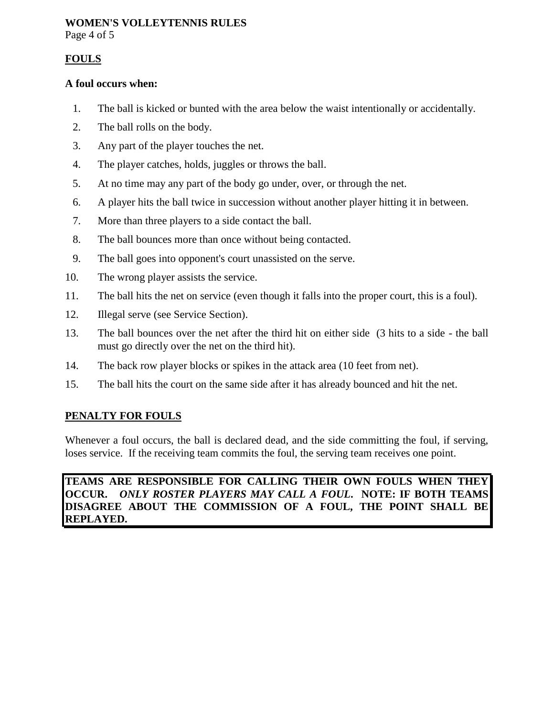Page 4 of 5

#### **FOULS**

#### **A foul occurs when:**

- 1. The ball is kicked or bunted with the area below the waist intentionally or accidentally.
- 2. The ball rolls on the body.
- 3. Any part of the player touches the net.
- 4. The player catches, holds, juggles or throws the ball.
- 5. At no time may any part of the body go under, over, or through the net.
- 6. A player hits the ball twice in succession without another player hitting it in between.
- 7. More than three players to a side contact the ball.
- 8. The ball bounces more than once without being contacted.
- 9. The ball goes into opponent's court unassisted on the serve.
- 10. The wrong player assists the service.
- 11. The ball hits the net on service (even though it falls into the proper court, this is a foul).
- 12. Illegal serve (see Service Section).
- 13. The ball bounces over the net after the third hit on either side (3 hits to a side the ball must go directly over the net on the third hit).
- 14. The back row player blocks or spikes in the attack area (10 feet from net).
- 15. The ball hits the court on the same side after it has already bounced and hit the net.

#### **PENALTY FOR FOULS**

Whenever a foul occurs, the ball is declared dead, and the side committing the foul, if serving, loses service. If the receiving team commits the foul, the serving team receives one point.

#### **TEAMS ARE RESPONSIBLE FOR CALLING THEIR OWN FOULS WHEN THEY OCCUR.** *ONLY ROSTER PLAYERS MAY CALL A FOUL***. NOTE: IF BOTH TEAMS DISAGREE ABOUT THE COMMISSION OF A FOUL, THE POINT SHALL BE REPLAYED.**